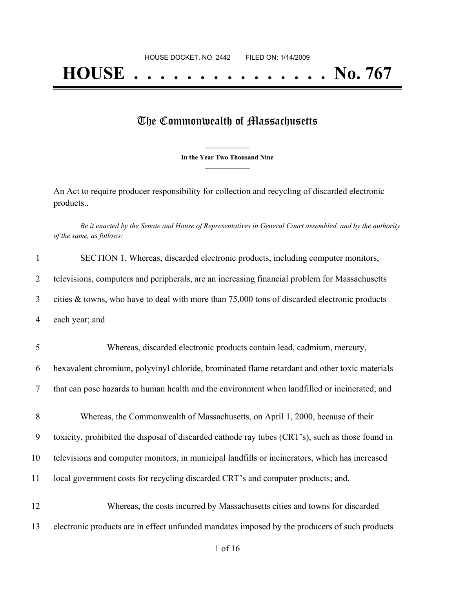## The Commonwealth of Massachusetts

**\_\_\_\_\_\_\_\_\_\_\_\_\_\_\_ In the Year Two Thousand Nine \_\_\_\_\_\_\_\_\_\_\_\_\_\_\_**

An Act to require producer responsibility for collection and recycling of discarded electronic products..

Be it enacted by the Senate and House of Representatives in General Court assembled, and by the authority *of the same, as follows:*

| $\mathbf{1}$   | SECTION 1. Whereas, discarded electronic products, including computer monitors,                  |
|----------------|--------------------------------------------------------------------------------------------------|
| $\overline{2}$ | televisions, computers and peripherals, are an increasing financial problem for Massachusetts    |
| 3              | cities & towns, who have to deal with more than 75,000 tons of discarded electronic products     |
| 4              | each year; and                                                                                   |
| 5              | Whereas, discarded electronic products contain lead, cadmium, mercury,                           |
| 6              | hexavalent chromium, polyvinyl chloride, brominated flame retardant and other toxic materials    |
| $\overline{7}$ | that can pose hazards to human health and the environment when landfilled or incinerated; and    |
| 8              | Whereas, the Commonwealth of Massachusetts, on April 1, 2000, because of their                   |
| 9              | toxicity, prohibited the disposal of discarded cathode ray tubes (CRT's), such as those found in |
| 10             | televisions and computer monitors, in municipal landfills or incinerators, which has increased   |
| 11             | local government costs for recycling discarded CRT's and computer products; and,                 |
| 12             | Whereas, the costs incurred by Massachusetts cities and towns for discarded                      |
| 13             | electronic products are in effect unfunded mandates imposed by the producers of such products    |
|                |                                                                                                  |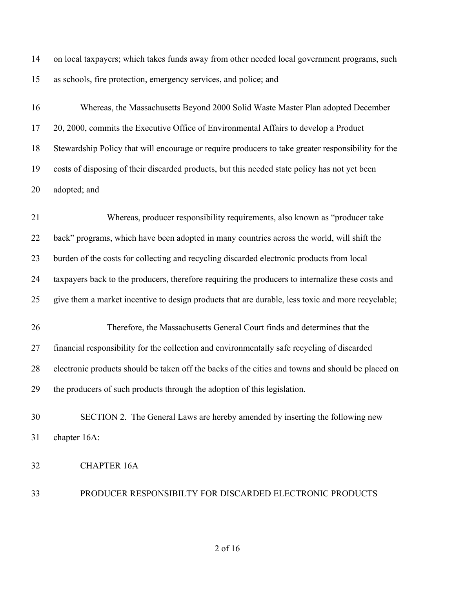on local taxpayers; which takes funds away from other needed local government programs, such as schools, fire protection, emergency services, and police; and

 Whereas, the Massachusetts Beyond 2000 Solid Waste Master Plan adopted December 20, 2000, commits the Executive Office of Environmental Affairs to develop a Product Stewardship Policy that will encourage or require producers to take greater responsibility for the costs of disposing of their discarded products, but this needed state policy has not yet been adopted; and

 Whereas, producer responsibility requirements, also known as "producer take 22 back" programs, which have been adopted in many countries across the world, will shift the burden of the costs for collecting and recycling discarded electronic products from local taxpayers back to the producers, therefore requiring the producers to internalize these costs and give them a market incentive to design products that are durable, less toxic and more recyclable; Therefore, the Massachusetts General Court finds and determines that the financial responsibility for the collection and environmentally safe recycling of discarded electronic products should be taken off the backs of the cities and towns and should be placed on

the producers of such products through the adoption of this legislation.

 SECTION 2. The General Laws are hereby amended by inserting the following new chapter 16A:

CHAPTER 16A

PRODUCER RESPONSIBILTY FOR DISCARDED ELECTRONIC PRODUCTS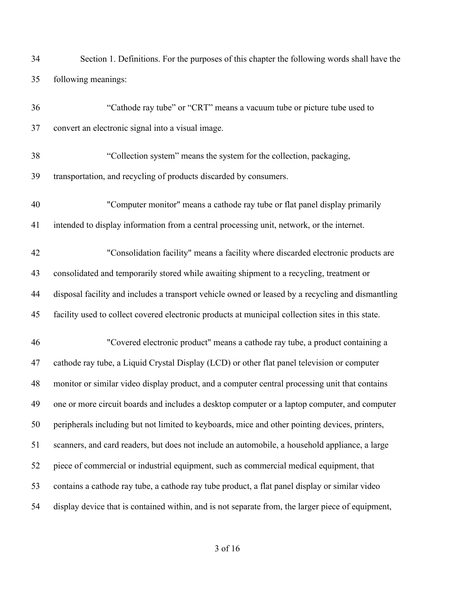| 34 | Section 1. Definitions. For the purposes of this chapter the following words shall have the       |
|----|---------------------------------------------------------------------------------------------------|
| 35 | following meanings:                                                                               |
| 36 | "Cathode ray tube" or "CRT" means a vacuum tube or picture tube used to                           |
| 37 | convert an electronic signal into a visual image.                                                 |
| 38 | "Collection system" means the system for the collection, packaging,                               |
| 39 | transportation, and recycling of products discarded by consumers.                                 |
| 40 | "Computer monitor" means a cathode ray tube or flat panel display primarily                       |
| 41 | intended to display information from a central processing unit, network, or the internet.         |
| 42 | "Consolidation facility" means a facility where discarded electronic products are                 |
| 43 | consolidated and temporarily stored while awaiting shipment to a recycling, treatment or          |
| 44 | disposal facility and includes a transport vehicle owned or leased by a recycling and dismantling |
| 45 | facility used to collect covered electronic products at municipal collection sites in this state. |
| 46 | "Covered electronic product" means a cathode ray tube, a product containing a                     |
| 47 | cathode ray tube, a Liquid Crystal Display (LCD) or other flat panel television or computer       |
| 48 | monitor or similar video display product, and a computer central processing unit that contains    |
| 49 | one or more circuit boards and includes a desktop computer or a laptop computer, and computer     |
| 50 | peripherals including but not limited to keyboards, mice and other pointing devices, printers,    |
| 51 | scanners, and card readers, but does not include an automobile, a household appliance, a large    |
| 52 | piece of commercial or industrial equipment, such as commercial medical equipment, that           |
| 53 | contains a cathode ray tube, a cathode ray tube product, a flat panel display or similar video    |
| 54 | display device that is contained within, and is not separate from, the larger piece of equipment, |
|    |                                                                                                   |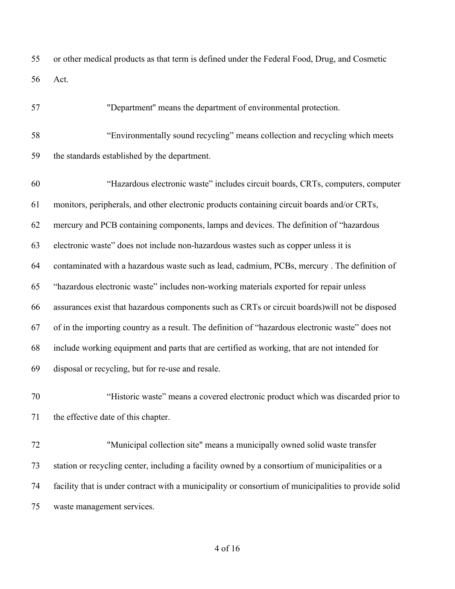or other medical products as that term is defined under the Federal Food, Drug, and Cosmetic Act.

"Department'' means the department of environmental protection.

 "Environmentally sound recycling" means collection and recycling which meets the standards established by the department. "Hazardous electronic waste" includes circuit boards, CRTs, computers, computer monitors, peripherals, and other electronic products containing circuit boards and/or CRTs, mercury and PCB containing components, lamps and devices. The definition of "hazardous electronic waste" does not include non-hazardous wastes such as copper unless it is contaminated with a hazardous waste such as lead, cadmium, PCBs, mercury . The definition of "hazardous electronic waste" includes non-working materials exported for repair unless assurances exist that hazardous components such as CRTs or circuit boards)will not be disposed of in the importing country as a result. The definition of "hazardous electronic waste" does not include working equipment and parts that are certified as working, that are not intended for disposal or recycling, but for re-use and resale. "Historic waste" means a covered electronic product which was discarded prior to

the effective date of this chapter.

 "Municipal collection site" means a municipally owned solid waste transfer station or recycling center, including a facility owned by a consortium of municipalities or a facility that is under contract with a municipality or consortium of municipalities to provide solid waste management services.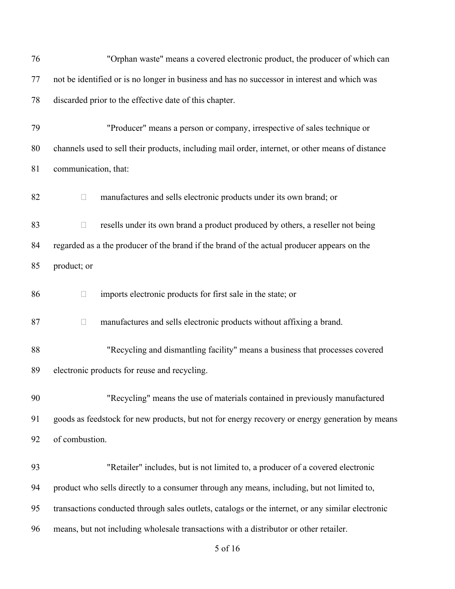| 76 | "Orphan waste" means a covered electronic product, the producer of which can                      |
|----|---------------------------------------------------------------------------------------------------|
| 77 | not be identified or is no longer in business and has no successor in interest and which was      |
| 78 | discarded prior to the effective date of this chapter.                                            |
| 79 | "Producer" means a person or company, irrespective of sales technique or                          |
| 80 | channels used to sell their products, including mail order, internet, or other means of distance  |
| 81 | communication, that:                                                                              |
| 82 | manufactures and sells electronic products under its own brand; or<br>П                           |
| 83 | resells under its own brand a product produced by others, a reseller not being<br>$\Box$          |
| 84 | regarded as a the producer of the brand if the brand of the actual producer appears on the        |
| 85 | product; or                                                                                       |
| 86 | imports electronic products for first sale in the state; or<br>$\Box$                             |
| 87 | manufactures and sells electronic products without affixing a brand.<br>$\Box$                    |
| 88 | "Recycling and dismantling facility" means a business that processes covered                      |
| 89 | electronic products for reuse and recycling.                                                      |
| 90 | "Recycling" means the use of materials contained in previously manufactured                       |
| 91 | goods as feedstock for new products, but not for energy recovery or energy generation by means    |
| 92 | of combustion.                                                                                    |
| 93 | "Retailer" includes, but is not limited to, a producer of a covered electronic                    |
| 94 | product who sells directly to a consumer through any means, including, but not limited to,        |
| 95 | transactions conducted through sales outlets, catalogs or the internet, or any similar electronic |
| 96 | means, but not including wholesale transactions with a distributor or other retailer.             |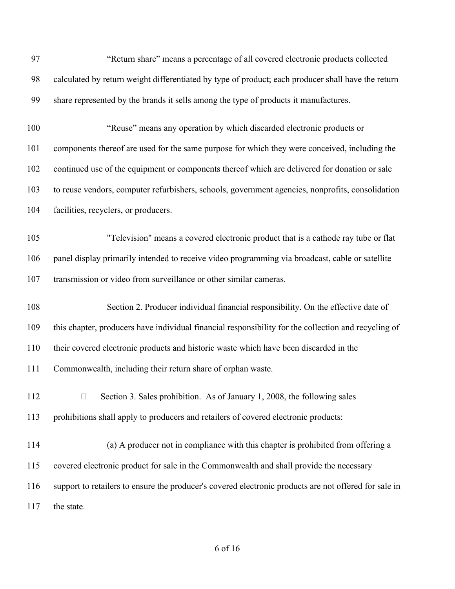| 97  | "Return share" means a percentage of all covered electronic products collected                        |
|-----|-------------------------------------------------------------------------------------------------------|
| 98  | calculated by return weight differentiated by type of product; each producer shall have the return    |
| 99  | share represented by the brands it sells among the type of products it manufactures.                  |
| 100 | "Reuse" means any operation by which discarded electronic products or                                 |
| 101 | components thereof are used for the same purpose for which they were conceived, including the         |
| 102 | continued use of the equipment or components thereof which are delivered for donation or sale         |
| 103 | to reuse vendors, computer refurbishers, schools, government agencies, nonprofits, consolidation      |
| 104 | facilities, recyclers, or producers.                                                                  |
| 105 | "Television" means a covered electronic product that is a cathode ray tube or flat                    |
| 106 | panel display primarily intended to receive video programming via broadcast, cable or satellite       |
| 107 | transmission or video from surveillance or other similar cameras.                                     |
|     |                                                                                                       |
| 108 | Section 2. Producer individual financial responsibility. On the effective date of                     |
| 109 | this chapter, producers have individual financial responsibility for the collection and recycling of  |
| 110 | their covered electronic products and historic waste which have been discarded in the                 |
| 111 | Commonwealth, including their return share of orphan waste.                                           |
| 112 | Section 3. Sales prohibition. As of January 1, 2008, the following sales<br>$\Box$                    |
| 113 | prohibitions shall apply to producers and retailers of covered electronic products:                   |
| 114 | (a) A producer not in compliance with this chapter is prohibited from offering a                      |
| 115 | covered electronic product for sale in the Commonwealth and shall provide the necessary               |
| 116 | support to retailers to ensure the producer's covered electronic products are not offered for sale in |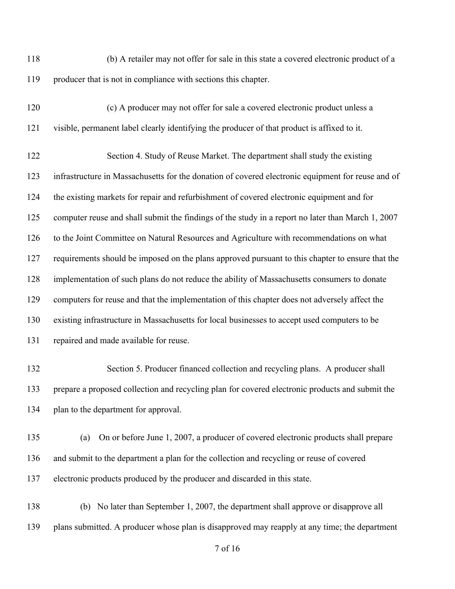(b) A retailer may not offer for sale in this state a covered electronic product of a producer that is not in compliance with sections this chapter.

 (c) A producer may not offer for sale a covered electronic product unless a visible, permanent label clearly identifying the producer of that product is affixed to it.

 Section 4. Study of Reuse Market. The department shall study the existing infrastructure in Massachusetts for the donation of covered electronic equipment for reuse and of the existing markets for repair and refurbishment of covered electronic equipment and for computer reuse and shall submit the findings of the study in a report no later than March 1, 2007 to the Joint Committee on Natural Resources and Agriculture with recommendations on what requirements should be imposed on the plans approved pursuant to this chapter to ensure that the implementation of such plans do not reduce the ability of Massachusetts consumers to donate computers for reuse and that the implementation of this chapter does not adversely affect the existing infrastructure in Massachusetts for local businesses to accept used computers to be repaired and made available for reuse.

- Section 5. Producer financed collection and recycling plans. A producer shall prepare a proposed collection and recycling plan for covered electronic products and submit the plan to the department for approval.
- (a) On or before June 1, 2007, a producer of covered electronic products shall prepare and submit to the department a plan for the collection and recycling or reuse of covered electronic products produced by the producer and discarded in this state.
- (b) No later than September 1, 2007, the department shall approve or disapprove all plans submitted. A producer whose plan is disapproved may reapply at any time; the department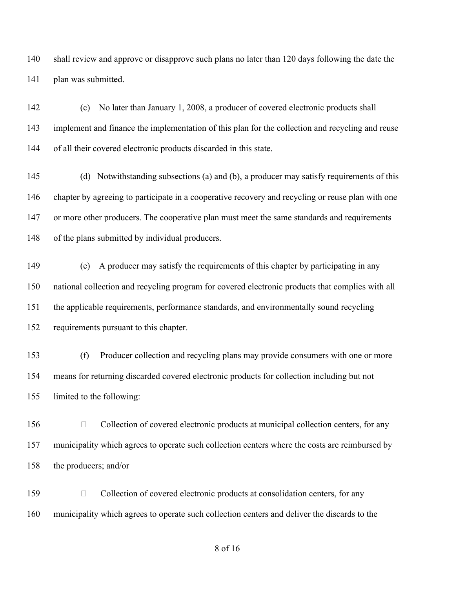shall review and approve or disapprove such plans no later than 120 days following the date the plan was submitted.

 (c) No later than January 1, 2008, a producer of covered electronic products shall 143 implement and finance the implementation of this plan for the collection and recycling and reuse of all their covered electronic products discarded in this state.

 (d) Notwithstanding subsections (a) and (b), a producer may satisfy requirements of this chapter by agreeing to participate in a cooperative recovery and recycling or reuse plan with one 147 or more other producers. The cooperative plan must meet the same standards and requirements of the plans submitted by individual producers.

 (e) A producer may satisfy the requirements of this chapter by participating in any national collection and recycling program for covered electronic products that complies with all the applicable requirements, performance standards, and environmentally sound recycling requirements pursuant to this chapter.

 (f) Producer collection and recycling plans may provide consumers with one or more means for returning discarded covered electronic products for collection including but not limited to the following:

156 Collection of covered electronic products at municipal collection centers, for any 157 municipality which agrees to operate such collection centers where the costs are reimbursed by the producers; and/or

159 Collection of covered electronic products at consolidation centers, for any municipality which agrees to operate such collection centers and deliver the discards to the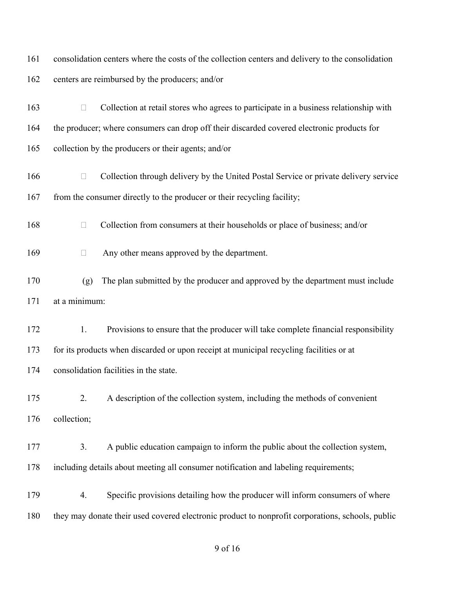| 161 | consolidation centers where the costs of the collection centers and delivery to the consolidation |
|-----|---------------------------------------------------------------------------------------------------|
| 162 | centers are reimbursed by the producers; and/or                                                   |
| 163 | Collection at retail stores who agrees to participate in a business relationship with<br>$\Box$   |
| 164 | the producer; where consumers can drop off their discarded covered electronic products for        |
| 165 | collection by the producers or their agents; and/or                                               |
| 166 | Collection through delivery by the United Postal Service or private delivery service<br>$\Box$    |
| 167 | from the consumer directly to the producer or their recycling facility;                           |
| 168 | Collection from consumers at their households or place of business; and/or<br>$\Box$              |
| 169 | Any other means approved by the department.<br>$\Box$                                             |
| 170 | The plan submitted by the producer and approved by the department must include<br>(g)             |
| 171 | at a minimum:                                                                                     |
| 172 | Provisions to ensure that the producer will take complete financial responsibility<br>1.          |
| 173 | for its products when discarded or upon receipt at municipal recycling facilities or at           |
| 174 | consolidation facilities in the state.                                                            |
| 175 | A description of the collection system, including the methods of convenient<br>2.                 |
| 176 | collection;                                                                                       |
| 177 | 3.<br>A public education campaign to inform the public about the collection system,               |
| 178 | including details about meeting all consumer notification and labeling requirements;              |
| 179 | Specific provisions detailing how the producer will inform consumers of where<br>4.               |
| 180 | they may donate their used covered electronic product to nonprofit corporations, schools, public  |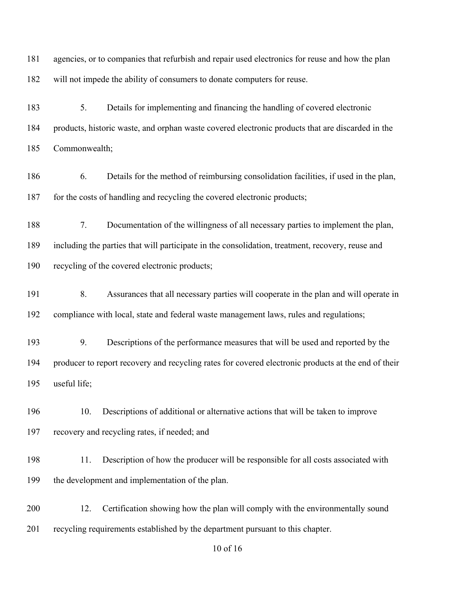agencies, or to companies that refurbish and repair used electronics for reuse and how the plan will not impede the ability of consumers to donate computers for reuse. 5. Details for implementing and financing the handling of covered electronic products, historic waste, and orphan waste covered electronic products that are discarded in the Commonwealth;

 6. Details for the method of reimbursing consolidation facilities, if used in the plan, for the costs of handling and recycling the covered electronic products;

 7. Documentation of the willingness of all necessary parties to implement the plan, including the parties that will participate in the consolidation, treatment, recovery, reuse and recycling of the covered electronic products;

 8. Assurances that all necessary parties will cooperate in the plan and will operate in compliance with local, state and federal waste management laws, rules and regulations;

 9. Descriptions of the performance measures that will be used and reported by the producer to report recovery and recycling rates for covered electronic products at the end of their useful life;

 10. Descriptions of additional or alternative actions that will be taken to improve recovery and recycling rates, if needed; and

198 11. Description of how the producer will be responsible for all costs associated with the development and implementation of the plan.

 12. Certification showing how the plan will comply with the environmentally sound recycling requirements established by the department pursuant to this chapter.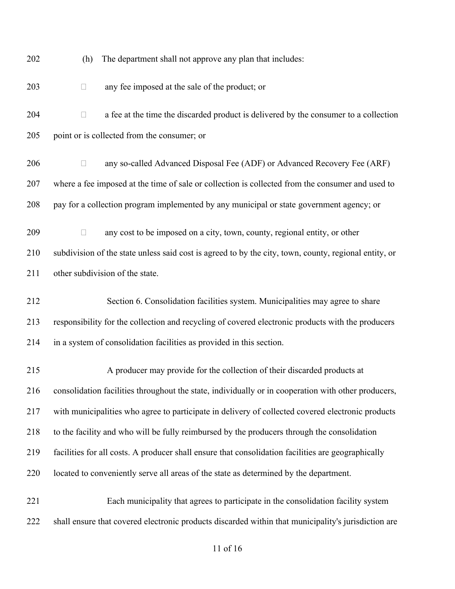| 202 | The department shall not approve any plan that includes:<br>(h)                                       |
|-----|-------------------------------------------------------------------------------------------------------|
| 203 | any fee imposed at the sale of the product; or<br>$\Box$                                              |
| 204 | a fee at the time the discarded product is delivered by the consumer to a collection<br>$\Box$        |
| 205 | point or is collected from the consumer; or                                                           |
| 206 | any so-called Advanced Disposal Fee (ADF) or Advanced Recovery Fee (ARF)<br>$\Box$                    |
| 207 | where a fee imposed at the time of sale or collection is collected from the consumer and used to      |
| 208 | pay for a collection program implemented by any municipal or state government agency; or              |
| 209 | any cost to be imposed on a city, town, county, regional entity, or other<br>$\Box$                   |
| 210 | subdivision of the state unless said cost is agreed to by the city, town, county, regional entity, or |
| 211 | other subdivision of the state.                                                                       |
| 212 | Section 6. Consolidation facilities system. Municipalities may agree to share                         |
| 213 | responsibility for the collection and recycling of covered electronic products with the producers     |
| 214 | in a system of consolidation facilities as provided in this section.                                  |
| 215 | A producer may provide for the collection of their discarded products at                              |
| 216 | consolidation facilities throughout the state, individually or in cooperation with other producers,   |
| 217 | with municipalities who agree to participate in delivery of collected covered electronic products     |
| 218 | to the facility and who will be fully reimbursed by the producers through the consolidation           |
| 219 | facilities for all costs. A producer shall ensure that consolidation facilities are geographically    |
| 220 | located to conveniently serve all areas of the state as determined by the department.                 |
| 221 | Each municipality that agrees to participate in the consolidation facility system                     |
| 222 | shall ensure that covered electronic products discarded within that municipality's jurisdiction are   |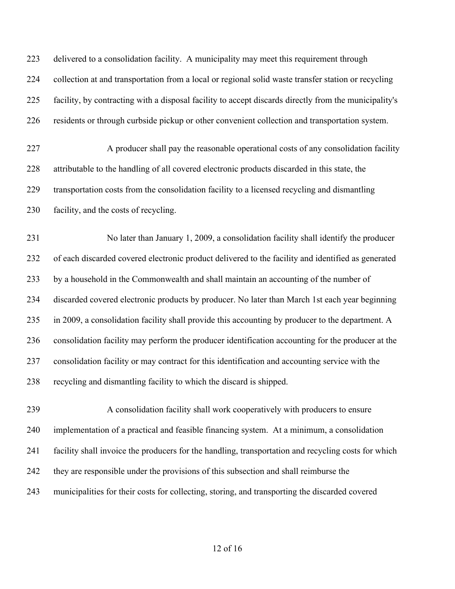delivered to a consolidation facility. A municipality may meet this requirement through collection at and transportation from a local or regional solid waste transfer station or recycling facility, by contracting with a disposal facility to accept discards directly from the municipality's residents or through curbside pickup or other convenient collection and transportation system.

 A producer shall pay the reasonable operational costs of any consolidation facility attributable to the handling of all covered electronic products discarded in this state, the transportation costs from the consolidation facility to a licensed recycling and dismantling facility, and the costs of recycling.

 No later than January 1, 2009, a consolidation facility shall identify the producer of each discarded covered electronic product delivered to the facility and identified as generated by a household in the Commonwealth and shall maintain an accounting of the number of discarded covered electronic products by producer. No later than March 1st each year beginning in 2009, a consolidation facility shall provide this accounting by producer to the department. A consolidation facility may perform the producer identification accounting for the producer at the consolidation facility or may contract for this identification and accounting service with the recycling and dismantling facility to which the discard is shipped.

 A consolidation facility shall work cooperatively with producers to ensure implementation of a practical and feasible financing system. At a minimum, a consolidation facility shall invoice the producers for the handling, transportation and recycling costs for which they are responsible under the provisions of this subsection and shall reimburse the municipalities for their costs for collecting, storing, and transporting the discarded covered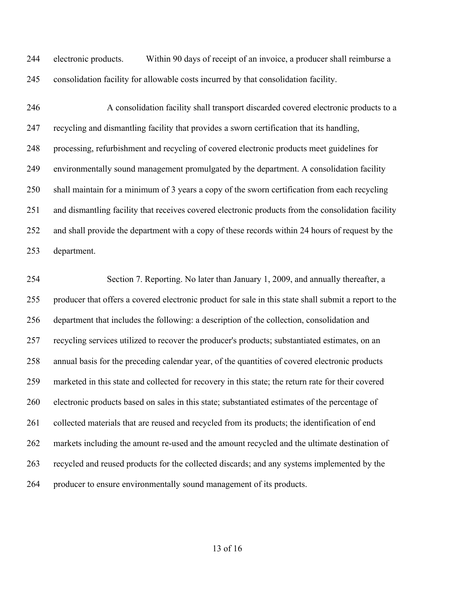electronic products. Within 90 days of receipt of an invoice, a producer shall reimburse a consolidation facility for allowable costs incurred by that consolidation facility.

 A consolidation facility shall transport discarded covered electronic products to a recycling and dismantling facility that provides a sworn certification that its handling, processing, refurbishment and recycling of covered electronic products meet guidelines for environmentally sound management promulgated by the department. A consolidation facility shall maintain for a minimum of 3 years a copy of the sworn certification from each recycling and dismantling facility that receives covered electronic products from the consolidation facility and shall provide the department with a copy of these records within 24 hours of request by the department.

 Section 7. Reporting. No later than January 1, 2009, and annually thereafter, a producer that offers a covered electronic product for sale in this state shall submit a report to the department that includes the following: a description of the collection, consolidation and recycling services utilized to recover the producer's products; substantiated estimates, on an annual basis for the preceding calendar year, of the quantities of covered electronic products marketed in this state and collected for recovery in this state; the return rate for their covered electronic products based on sales in this state; substantiated estimates of the percentage of 261 collected materials that are reused and recycled from its products; the identification of end markets including the amount re-used and the amount recycled and the ultimate destination of recycled and reused products for the collected discards; and any systems implemented by the producer to ensure environmentally sound management of its products.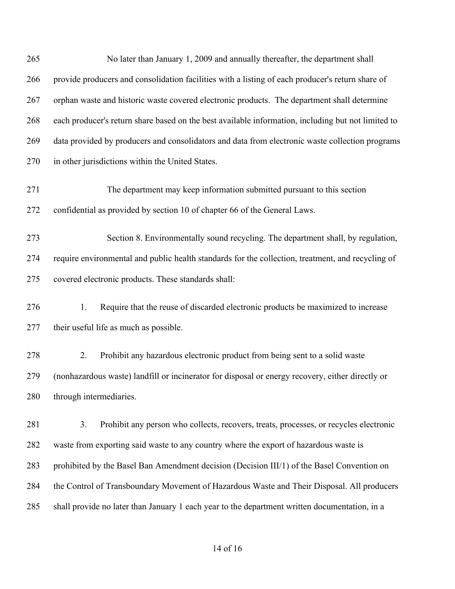| 265 | No later than January 1, 2009 and annually thereafter, the department shall                        |
|-----|----------------------------------------------------------------------------------------------------|
| 266 | provide producers and consolidation facilities with a listing of each producer's return share of   |
| 267 | orphan waste and historic waste covered electronic products. The department shall determine        |
| 268 | each producer's return share based on the best available information, including but not limited to |
| 269 | data provided by producers and consolidators and data from electronic waste collection programs    |
| 270 | in other jurisdictions within the United States.                                                   |
| 271 | The department may keep information submitted pursuant to this section                             |
| 272 | confidential as provided by section 10 of chapter 66 of the General Laws.                          |
| 273 | Section 8. Environmentally sound recycling. The department shall, by regulation,                   |
| 274 | require environmental and public health standards for the collection, treatment, and recycling of  |
| 275 | covered electronic products. These standards shall:                                                |
| 276 | 1.<br>Require that the reuse of discarded electronic products be maximized to increase             |
| 277 | their useful life as much as possible.                                                             |
| 278 | Prohibit any hazardous electronic product from being sent to a solid waste<br>2.                   |
| 279 | (nonhazardous waste) landfill or incinerator for disposal or energy recovery, either directly or   |
| 280 | through intermediaries.                                                                            |
| 281 | 3.<br>Prohibit any person who collects, recovers, treats, processes, or recycles electronic        |
| 282 | waste from exporting said waste to any country where the export of hazardous waste is              |
| 283 | prohibited by the Basel Ban Amendment decision (Decision III/1) of the Basel Convention on         |
| 284 | the Control of Transboundary Movement of Hazardous Waste and Their Disposal. All producers         |
| 285 | shall provide no later than January 1 each year to the department written documentation, in a      |
|     |                                                                                                    |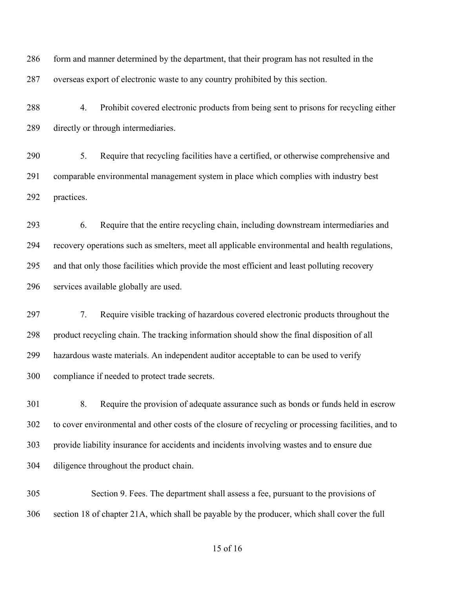286 form and manner determined by the department, that their program has not resulted in the overseas export of electronic waste to any country prohibited by this section.

 4. Prohibit covered electronic products from being sent to prisons for recycling either directly or through intermediaries.

 5. Require that recycling facilities have a certified, or otherwise comprehensive and comparable environmental management system in place which complies with industry best practices.

 6. Require that the entire recycling chain, including downstream intermediaries and recovery operations such as smelters, meet all applicable environmental and health regulations, and that only those facilities which provide the most efficient and least polluting recovery services available globally are used.

 7. Require visible tracking of hazardous covered electronic products throughout the product recycling chain. The tracking information should show the final disposition of all hazardous waste materials. An independent auditor acceptable to can be used to verify compliance if needed to protect trade secrets.

 8. Require the provision of adequate assurance such as bonds or funds held in escrow to cover environmental and other costs of the closure of recycling or processing facilities, and to provide liability insurance for accidents and incidents involving wastes and to ensure due diligence throughout the product chain.

 Section 9. Fees. The department shall assess a fee, pursuant to the provisions of section 18 of chapter 21A, which shall be payable by the producer, which shall cover the full